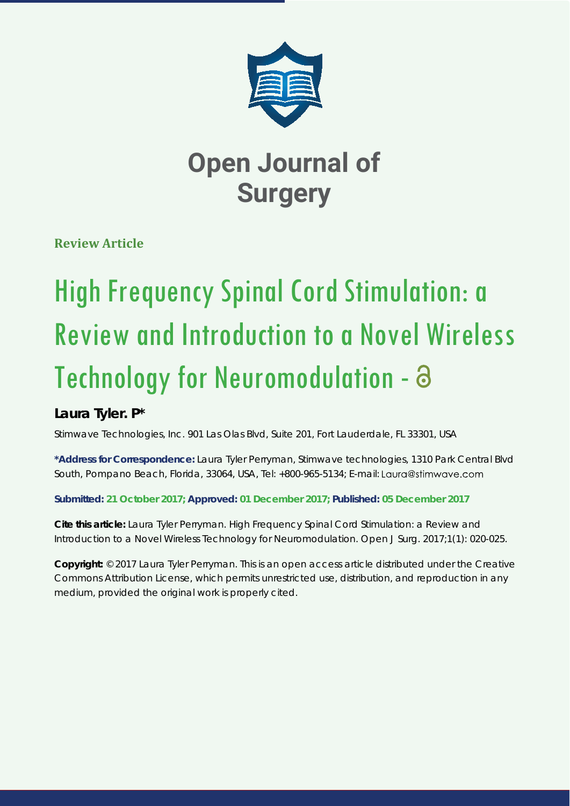

## **Open Journal of Surgery**

**Review Article**

# High Frequency Spinal Cord Stimulation: a Review and Introduction to a Novel Wireless Technology for Neuromodulation - a

### **Laura Tyler. P\***

*Stimwave Technologies, Inc. 901 Las Olas Blvd, Suite 201, Fort Lauderdale, FL 33301, USA*

**\*Address for Correspondence:** Laura Tyler Perryman, Stimwave technologies, 1310 Park Central Blvd South, Pompano Beach, Florida, 33064, USA, Tel: +800-965-5134; E-mail:

**Submitted: 21 October 2017; Approved: 01 December 2017; Published: 05 December 2017**

**Cite this article:** Laura Tyler Perryman. High Frequency Spinal Cord Stimulation: a Review and Introduction to a Novel Wireless Technology for Neuromodulation. Open J Surg. 2017;1(1): 020-025.

**Copyright:** © 2017 Laura Tyler Perryman. This is an open access article distributed under the Creative Commons Attribution License, which permits unrestricted use, distribution, and reproduction in any medium, provided the original work is properly cited.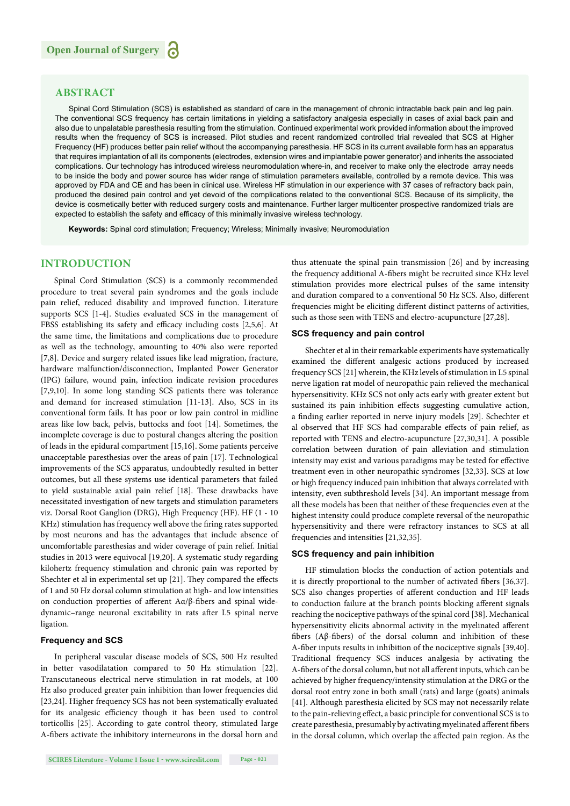#### **ABSTRACT**

Spinal Cord Stimulation (SCS) is established as standard of care in the management of chronic intractable back pain and leg pain. The conventional SCS frequency has certain limitations in yielding a satisfactory analgesia especially in cases of axial back pain and also due to unpalatable paresthesia resulting from the stimulation. Continued experimental work provided information about the improved results when the frequency of SCS is increased. Pilot studies and recent randomized controlled trial revealed that SCS at Higher Frequency (HF) produces better pain relief without the accompanying paresthesia. HF SCS in its current available form has an apparatus that requires implantation of all its components (electrodes, extension wires and implantable power generator) and inherits the associated complications. Our technology has introduced wireless neuromodulation where-in, and receiver to make only the electrode array needs to be inside the body and power source has wider range of stimulation parameters available, controlled by a remote device. This was approved by FDA and CE and has been in clinical use. Wireless HF stimulation in our experience with 37 cases of refractory back pain, produced the desired pain control and yet devoid of the complications related to the conventional SCS. Because of its simplicity, the device is cosmetically better with reduced surgery costs and maintenance. Further larger multicenter prospective randomized trials are expected to establish the safety and efficacy of this minimally invasive wireless technology.

**Keywords:** Spinal cord stimulation; Frequency; Wireless; Minimally invasive; Neuromodulation

#### **INTRODUCTION**

Spinal Cord Stimulation (SCS) is a commonly recommended procedure to treat several pain syndromes and the goals include pain relief, reduced disability and improved function. Literature supports SCS [1-4]. Studies evaluated SCS in the management of FBSS establishing its safety and efficacy including costs [2,5,6]. At the same time, the limitations and complications due to procedure as well as the technology, amounting to 40% also were reported [7,8]. Device and surgery related issues like lead migration, fracture, hardware malfunction/disconnection, Implanted Power Generator (IPG) failure, wound pain, infection indicate revision procedures [7,9,10]. In some long standing SCS patients there was tolerance and demand for increased stimulation [11-13]. Also, SCS in its conventional form fails. It has poor or low pain control in midline areas like low back, pelvis, buttocks and foot [14]. Sometimes, the incomplete coverage is due to postural changes altering the position of leads in the epidural compartment [15,16]. Some patients perceive unacceptable paresthesias over the areas of pain [17]. Technological improvements of the SCS apparatus, undoubtedly resulted in better outcomes, but all these systems use identical parameters that failed to yield sustainable axial pain relief [18]. These drawbacks have necessitated investigation of new targets and stimulation parameters viz. Dorsal Root Ganglion (DRG), High Frequency (HF). HF (1 - 10 KHz) stimulation has frequency well above the firing rates supported by most neurons and has the advantages that include absence of uncomfortable paresthesias and wider coverage of pain relief. Initial studies in 2013 were equivocal [19,20]. A systematic study regarding kilohertz frequency stimulation and chronic pain was reported by Shechter et al in experimental set up [21]. They compared the effects of 1 and 50 Hz dorsal column stimulation at high- and low intensities on conduction properties of afferent  $A\alpha/\beta$ -fibers and spinal widedynamic-range neuronal excitability in rats after L5 spinal nerve ligation.

#### **Frequency and SCS**

In peripheral vascular disease models of SCS, 500 Hz resulted in better vasodilatation compared to 50 Hz stimulation [22]. Transcutaneous electrical nerve stimulation in rat models, at 100 Hz also produced greater pain inhibition than lower frequencies did [23,24]. Higher frequency SCS has not been systematically evaluated for its analgesic efficiency though it has been used to control torticollis [25]. According to gate control theory, stimulated large A-fibers activate the inhibitory interneurons in the dorsal horn and

**SCIRES Literature - Volume 1 Issue 1 - www.scireslit.com Page - 021**

thus attenuate the spinal pain transmission [26] and by increasing the frequency additional A-fibers might be recruited since KHz level stimulation provides more electrical pulses of the same intensity and duration compared to a conventional 50 Hz SCS. Also, different frequencies might be eliciting different distinct patterns of activities, such as those seen with TENS and electro-acupuncture [27,28].

#### **SCS frequency and pain control**

Shechter et al in their remarkable experiments have systematically examined the different analgesic actions produced by increased frequency SCS [21] wherein, the KHz levels of stimulation in L5 spinal nerve ligation rat model of neuropathic pain relieved the mechanical hypersensitivity. KHz SCS not only acts early with greater extent but sustained its pain inhibition effects suggesting cumulative action, a finding earlier reported in nerve injury models [29]. Schechter et al observed that HF SCS had comparable effects of pain relief, as reported with TENS and electro-acupuncture [27,30,31]. A possible correlation between duration of pain alleviation and stimulation intensity may exist and various paradigms may be tested for effective treatment even in other neuropathic syndromes [32,33]. SCS at low or high frequency induced pain inhibition that always correlated with intensity, even subthreshold levels [34]. An important message from all these models has been that neither of these frequencies even at the highest intensity could produce complete reversal of the neuropathic hypersensitivity and there were refractory instances to SCS at all frequencies and intensities [21,32,35].

#### **SCS frequency and pain inhibition**

HF stimulation blocks the conduction of action potentials and it is directly proportional to the number of activated fibers [36,37]. SCS also changes properties of afferent conduction and HF leads to conduction failure at the branch points blocking afferent signals reaching the nociceptive pathways of the spinal cord [38]. Mechanical hypersensitivity elicits abnormal activity in the myelinated afferent fibers ( $A\beta$ -fibers) of the dorsal column and inhibition of these A-fiber inputs results in inhibition of the nociceptive signals [39,40]. Traditional frequency SCS induces analgesia by activating the A-fibers of the dorsal column, but not all afferent inputs, which can be achieved by higher frequency/intensity stimulation at the DRG or the dorsal root entry zone in both small (rats) and large (goats) animals [41]. Although paresthesia elicited by SCS may not necessarily relate to the pain-relieving effect, a basic principle for conventional SCS is to create paresthesia, presumably by activating myelinated afferent fibers in the dorsal column, which overlap the affected pain region. As the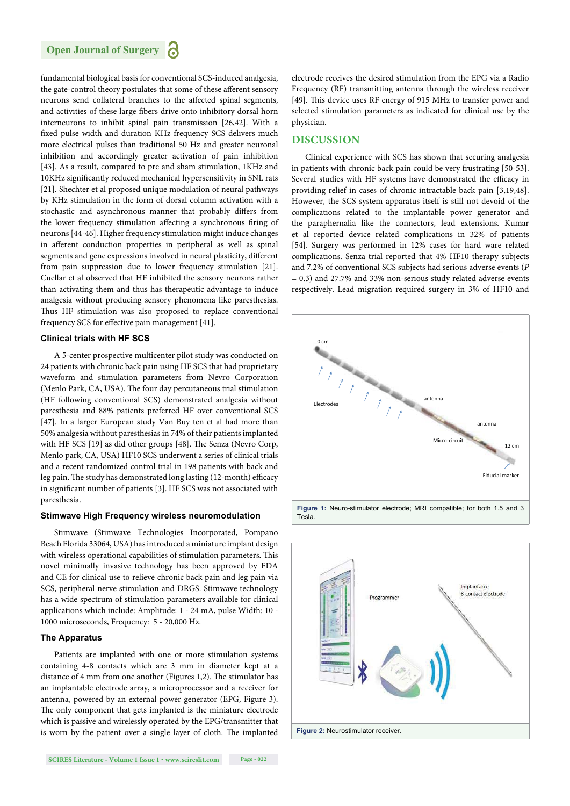

fundamental biological basis for conventional SCS-induced analgesia, the gate-control theory postulates that some of these afferent sensory neurons send collateral branches to the affected spinal segments, and activities of these large fibers drive onto inhibitory dorsal horn interneurons to inhibit spinal pain transmission [26,42]. With a fixed pulse width and duration KHz frequency SCS delivers much more electrical pulses than traditional 50 Hz and greater neuronal inhibition and accordingly greater activation of pain inhibition [43]. As a result, compared to pre and sham stimulation, 1KHz and 10KHz significantly reduced mechanical hypersensitivity in SNL rats [21]. Shechter et al proposed unique modulation of neural pathways by KHz stimulation in the form of dorsal column activation with a stochastic and asynchronous manner that probably differs from the lower frequency stimulation affecting a synchronous firing of neurons [44-46]. Higher frequency stimulation might induce changes in afferent conduction properties in peripheral as well as spinal segments and gene expressions involved in neural plasticity, different from pain suppression due to lower frequency stimulation [21]. Cuellar et al observed that HF inhibited the sensory neurons rather than activating them and thus has therapeutic advantage to induce analgesia without producing sensory phenomena like paresthesias. Thus HF stimulation was also proposed to replace conventional frequency SCS for effective pain management [41].

#### **Clinical trials with HF SCS**

A 5-center prospective multicenter pilot study was conducted on 24 patients with chronic back pain using HF SCS that had proprietary waveform and stimulation parameters from Nevro Corporation (Menlo Park, CA, USA). The four day percutaneous trial stimulation (HF following conventional SCS) demonstrated analgesia without paresthesia and 88% patients preferred HF over conventional SCS [47]. In a larger European study Van Buy ten et al had more than 50% analgesia without paresthesias in 74% of their patients implanted with HF SCS [19] as did other groups [48]. The Senza (Nevro Corp, Menlo park, CA, USA) HF10 SCS underwent a series of clinical trials and a recent randomized control trial in 198 patients with back and leg pain. The study has demonstrated long lasting (12-month) efficacy in significant number of patients [3]. HF SCS was not associated with paresthesia.

#### **Stimwave High Frequency wireless neuromodulation**

Stimwave (Stimwave Technologies Incorporated, Pompano Beach Florida 33064, USA) has introduced a miniature implant design with wireless operational capabilities of stimulation parameters. This novel minimally invasive technology has been approved by FDA and CE for clinical use to relieve chronic back pain and leg pain via SCS, peripheral nerve stimulation and DRGS. Stimwave technology has a wide spectrum of stimulation parameters available for clinical applications which include: Amplitude: 1 - 24 mA, pulse Width: 10 - 1000 microseconds, Frequency: 5 - 20,000 Hz.

#### **The Apparatus**

Patients are implanted with one or more stimulation systems containing 4-8 contacts which are 3 mm in diameter kept at a distance of 4 mm from one another (Figures 1,2). The stimulator has an implantable electrode array, a microprocessor and a receiver for antenna, powered by an external power generator (EPG, Figure 3). The only component that gets implanted is the miniature electrode which is passive and wirelessly operated by the EPG/transmitter that is worn by the patient over a single layer of cloth. The implanted

electrode receives the desired stimulation from the EPG via a Radio Frequency (RF) transmitting antenna through the wireless receiver [49]. This device uses RF energy of 915 MHz to transfer power and selected stimulation parameters as indicated for clinical use by the physician.

#### **DISCUSSION**

Clinical experience with SCS has shown that securing analgesia in patients with chronic back pain could be very frustrating [50-53]. Several studies with HF systems have demonstrated the efficacy in providing relief in cases of chronic intractable back pain [3,19,48]. However, the SCS system apparatus itself is still not devoid of the complications related to the implantable power generator and the paraphernalia like the connectors, lead extensions. Kumar et al reported device related complications in 32% of patients [54]. Surgery was performed in 12% cases for hard ware related complications. Senza trial reported that 4% HF10 therapy subjects and 7.2% of conventional SCS subjects had serious adverse events (*P*  = 0.3) and 27.7% and 33% non-serious study related adverse events respectively. Lead migration required surgery in 3% of HF10 and



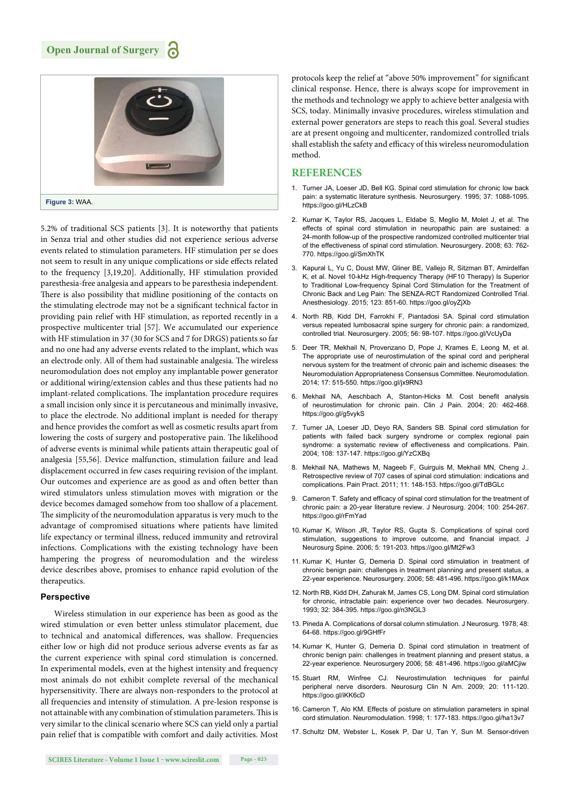

5.2% of traditional SCS patients [3]. It is noteworthy that patients in Senza trial and other studies did not experience serious adverse events related to stimulation parameters. HF stimulation per se does not seem to result in any unique complications or side effects related to the frequency [3,19,20]. Additionally, HF stimulation provided paresthesia-free analgesia and appears to be paresthesia independent. There is also possibility that midline positioning of the contacts on the stimulating electrode may not be a significant technical factor in providing pain relief with HF stimulation, as reported recently in a prospective multicenter trial [57]. We accumulated our experience with HF stimulation in 37 (30 for SCS and 7 for DRGS) patients so far and no one had any adverse events related to the implant, which was an electrode only. All of them had sustainable analgesia. The wireless neuromodulation does not employ any implantable power generator or additional wiring/extension cables and thus these patients had no implant-related complications. The implantation procedure requires a small incision only since it is percutaneous and minimally invasive, to place the electrode. No additional implant is needed for therapy and hence provides the comfort as well as cosmetic results apart from lowering the costs of surgery and postoperative pain. The likelihood of adverse events is minimal while patients attain therapeutic goal of analgesia [55,56]. Device malfunction, stimulation failure and lead displacement occurred in few cases requiring revision of the implant. Our outcomes and experience are as good as and often better than wired stimulators unless stimulation moves with migration or the device becomes damaged somehow from too shallow of a placement. The simplicity of the neuromodulation apparatus is very much to the advantage of compromised situations where patients have limited life expectancy or terminal illness, reduced immunity and retroviral infections. Complications with the existing technology have been hampering the progress of neuromodulation and the wireless device describes above, promises to enhance rapid evolution of the therapeutics.

#### **Perspective**

Wireless stimulation in our experience has been as good as the wired stimulation or even better unless stimulator placement, due to technical and anatomical differences, was shallow. Frequencies either low or high did not produce serious adverse events as far as the current experience with spinal cord stimulation is concerned. In experimental models, even at the highest intensity and frequency most animals do not exhibit complete reversal of the mechanical hypersensitivity. There are always non-responders to the protocol at all frequencies and intensity of stimulation. A pre-lesion response is not attainable with any combination of stimulation parameters. This is very similar to the clinical scenario where SCS can yield only a partial pain relief that is compatible with comfort and daily activities. Most protocols keep the relief at "above 50% improvement" for significant clinical response. Hence, there is always scope for improvement in the methods and technology we apply to achieve better analgesia with SCS, today. Minimally invasive procedures, wireless stimulation and external power generators are steps to reach this goal. Several studies are at present ongoing and multicenter, randomized controlled trials shall establish the safety and efficacy of this wireless neuromodulation method.

#### **REFERENCES**

- 1. Turner JA, Loeser JD, Bell KG. Spinal cord stimulation for chronic low back pain: a systematic literature synthesis. Neurosurgery. 1995; 37: 1088-1095. https://goo.gl/HLzCkB
- 2. Kumar K, Taylor RS, Jacques L, Eldabe S, Meglio M, Molet J, et al. The effects of spinal cord stimulation in neuropathic pain are sustained: a 24-month follow-up of the prospective randomized controlled multicenter trial of the effectiveness of spinal cord stimulation. Neurosurgery. 2008; 63: 762- 770. https://goo.gl/SmXhTK
- 3. Kapural L, Yu C, Doust MW, Gliner BE, Vallejo R, Sitzman BT, Amirdelfan K, et al. Novel 10-kHz High-frequency Therapy (HF10 Therapy) Is Superior to Traditional Low-frequency Spinal Cord Stimulation for the Treatment of Chronic Back and Leg Pain: The SENZA-RCT Randomized Controlled Trial. Anesthesiology. 2015; 123: 851-60. https://goo.gl/oyZjXb
- 4. North RB, Kidd DH, Farrokhi F, Piantadosi SA. Spinal cord stimulation versus repeated lumbosacral spine surgery for chronic pain: a randomized, controlled trial. Neurosurgery. 2005; 56: 98-107. https://goo.gl/VcUyDa
- 5. Deer TR, Mekhail N, Provenzano D, Pope J, Krames E, Leong M, et al. The appropriate use of neurostimulation of the spinal cord and peripheral nervous system for the treatment of chronic pain and ischemic diseases: the Neuromodulation Appropriateness Consensus Committee. Neuromodulation. 2014; 17: 515-550. https://goo.gl/jx9RN3
- 6. Mekhail NA, Aeschbach A, Stanton-Hicks M. Cost benefit analysis of neurostimulation for chronic pain. Clin J Pain. 2004; 20: 462-468. https://goo.gl/g5vykS
- 7. Turner JA, Loeser JD, Deyo RA, Sanders SB. Spinal cord stimulation for patients with failed back surgery syndrome or complex regional pain syndrome: a systematic review of effectiveness and complications. Pain. 2004; 108: 137-147. https://goo.gl/YzCXBq
- 8. Mekhail NA, Mathews M, Nageeb F, Guirguis M, Mekhail MN, Cheng J.. Retrospective review of 707 cases of spinal cord stimulation: indications and complications. Pain Pract. 2011; 11: 148-153. https://goo.gl/TdBGLc
- 9. Cameron T. Safety and efficacy of spinal cord stimulation for the treatment of chronic pain: a 20-year literature review. J Neurosurg. 2004; 100: 254-267. https://goo.gl/rFmYad
- 10. Kumar K, Wilson JR, Taylor RS, Gupta S. Complications of spinal cord stimulation, suggestions to improve outcome, and financial impact. J Neurosurg Spine. 2006; 5: 191-203. https://goo.gl/Mt2Fw3
- 11. Kumar K, Hunter G, Demeria D. Spinal cord stimulation in treatment of chronic benign pain: challenges in treatment planning and present status, a 22-year experience. Neurosurgery. 2006; 58: 481-496. https://goo.gl/k1MAox
- 12. North RB, Kidd DH, Zahurak M, James CS, Long DM. Spinal cord stimulation for chronic, intractable pain: experience over two decades. Neurosurgery. 1993; 32: 384-395. https://goo.gl/n3NGL3
- 13. Pineda A. Complications of dorsal column stimulation. J Neurosurg. 1978; 48: 64-68. https://goo.gl/9GHfFr
- 14. Kumar K, Hunter G, Demeria D. Spinal cord stimulation in treatment of chronic benign pain: challenges in treatment planning and present status, a 22-year experience. Neurosurgery 2006; 58: 481-496. https://goo.gl/aMCjiw
- 15. Stuart RM, Winfree CJ. Neurostimulation techniques for painful peripheral nerve disorders. Neurosurg Clin N Am. 2009; 20: 111-120. https://goo.gl/iKK6cD
- 16. Cameron T, Alo KM. Effects of posture on stimulation parameters in spinal cord stimulation. Neuromodulation. 1998; 1: 177-183. https://goo.gl/ha13v7
- 17. Schultz DM, Webster L, Kosek P, Dar U, Tan Y, Sun M. Sensor-driven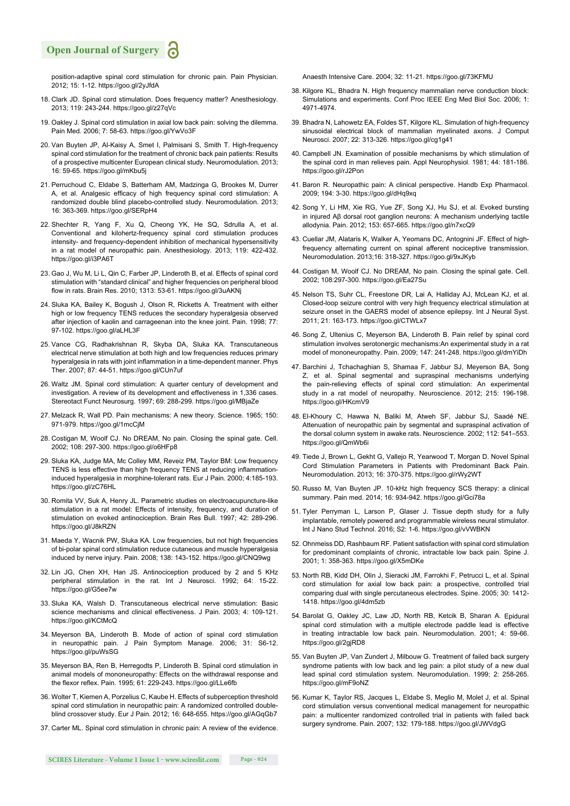#### **Open Journal of Surgery**

position-adaptive spinal cord stimulation for chronic pain. Pain Physician. 2012; 15: 1-12. https://goo.gl/2yJfdA

- 18. Clark JD. Spinal cord stimulation. Does frequency matter? Anesthesiology. 2013; 119: 243-244. https://goo.gl/z27qVc
- 19. Oakley J. Spinal cord stimulation in axial low back pain: solving the dilemma. Pain Med*.* 2006; 7: 58-63. https://goo.gl/YwVo3F
- 20. Van Buyten JP, Al-Kaisy A, Smet I, Palmisani S, Smith T. High-frequency spinal cord stimulation for the treatment of chronic back pain patients: Results of a prospective multicenter European clinical study. Neuromodulation. 2013; 16: 59-65. https://goo.gl/mKbu5j
- 21. Perruchoud C, Eldabe S, Batterham AM, Madzinga G, Brookes M, Durrer A, et al. Analgesic efficacy of high frequency spinal cord stimulation: A randomized double blind placebo-controlled study. Neuromodulation. 2013; 16: 363-369. https://goo.gl/SERpH4
- 22. Shechter R, Yang F, Xu Q, Cheong YK, He SQ, Sdrulla A, et al. Conventional and kilohertz-frequency spinal cord stimulation produces intensity- and frequency-dependent inhibition of mechanical hypersensitivity in a rat model of neuropathic pain. Anesthesiology. 2013; 119: 422-432. https://goo.gl/i3PA6T
- 23. Gao J, Wu M, Li L, Qin C, Farber JP, Linderoth B, et al. Effects of spinal cord stimulation with "standard clinical" and higher frequencies on peripheral blood flow in rats. Brain Res. 2010; 1313: 53-61. https://goo.gl/3uAKNj
- 24. Sluka KA, Bailey K, Bogush J, Olson R, Ricketts A. Treatment with either high or low frequency TENS reduces the secondary hyperalgesia observed after injection of kaolin and carrageenan into the knee joint. Pain. 1998; 77: 97-102. https://goo.gl/aLHL3F
- 25. Vance CG, Radhakrishnan R, Skyba DA, Sluka KA. Transcutaneous electrical nerve stimulation at both high and low frequencies reduces primary hyperalgesia in rats with joint inflammation in a time-dependent manner. Phys Ther. 2007; 87: 44-51. https://goo.gl/CUn7uf
- 26. Waltz JM. Spinal cord stimulation: A quarter century of development and investigation. A review of its development and effectiveness in 1,336 cases. Stereotact Funct Neurosurg. 1997; 69: 288-299. https://goo.gl/MBjaZe
- 27. Melzack R, Wall PD. Pain mechanisms: A new theory. Science. 1965; 150: 971-979. https://goo.gl/1mcCjM
- 28. Costigan M, Woolf CJ. No DREAM, No pain. Closing the spinal gate. Cell. 2002; 108: 297-300. https://goo.gl/o6HFp8
- 29. Sluka KA, Judge MA, Mc Colley MM, Reveiz PM, Taylor BM: Low frequency TENS is less effective than high frequency TENS at reducing inflammationinduced hyperalgesia in morphine-tolerant rats. Eur J Pain. 2000; 4:185-193. https://goo.gl/zC76HL
- 30. Romita VV, Suk A, Henry JL. Parametric studies on electroacupuncture-like stimulation in a rat model: Effects of intensity, frequency, and duration of stimulation on evoked antinociception. Brain Res Bull. 1997; 42: 289-296. https://goo.gl/J8kRZN
- 31. Maeda Y, Wacnik PW, Sluka KA. Low frequencies, but not high frequencies of bi-polar spinal cord stimulation reduce cutaneous and muscle hyperalgesia induced by nerve injury. Pain. 2008; 138: 143-152. https://goo.gl/CNQ9wg
- 32. Lin JG, Chen XH, Han JS. Antinociception produced by 2 and 5 KHz peripheral stimulation in the rat. Int J Neurosci. 1992; 64: 15-22. https://goo.gl/G5ee7w
- 33. Sluka KA, Walsh D. Transcutaneous electrical nerve stimulation: Basic science mechanisms and clinical effectiveness. J Pain. 2003; 4: 109-121. https://goo.gl/KCtMcQ
- 34. Meyerson BA, Linderoth B. Mode of action of spinal cord stimulation in neuropathic pain. J Pain Symptom Manage. 2006; 31: S6-12. https://goo.gl/puWsSG
- 35. Meyerson BA, Ren B, Herregodts P, Linderoth B. Spinal cord stimulation in animal models of mononeuropathy: Effects on the withdrawal response and the flexor reflex. Pain. 1995; 61: 229-243. https://goo.gl/LLe6fb
- 36. Wolter T, Kiemen A, Porzelius C, Kaube H. Effects of subperception threshold spinal cord stimulation in neuropathic pain: A randomized controlled doubleblind crossover study. Eur J Pain. 2012; 16: 648-655. https://goo.gl/AGqGb7
- 37. Carter ML. Spinal cord stimulation in chronic pain: A review of the evidence.

**SCIRES Literature - Volume 1 Issue 1 - www.scireslit.com Page - 024**

Anaesth Intensive Care. 2004; 32: 11-21. https://goo.gl/73KFMU

- 38. Kilgore KL, Bhadra N. High frequency mammalian nerve conduction block: Simulations and experiments. Conf Proc IEEE Eng Med Biol Soc. 2006; 1: 4971-4974.
- 39. Bhadra N, Lahowetz EA, Foldes ST, Kilgore KL. Simulation of high-frequency sinusoidal electrical block of mammalian myelinated axons. J Comput Neurosci. 2007; 22: 313-326. https://goo.gl/cg1g41
- 40. Campbell JN. Examination of possible mechanisms by which stimulation of the spinal cord in man relieves pain. Appl Neurophysiol. 1981; 44: 181-186. https://goo.gl/rJ2Pon
- 41. Baron R. Neuropathic pain: A clinical perspective. Handb Exp Pharmacol. 2009; 194: 3-30. https://goo.gl/dHq9xq
- 42. Song Y, Li HM, Xie RG, Yue ZF, Song XJ, Hu SJ, et al. Evoked bursting in injured Aβ dorsal root ganglion neurons: A mechanism underlying tactile allodynia. Pain. 2012; 153: 657-665. https://goo.gl/n7xcQ9
- 43. Cuellar JM, Alataris K, Walker A, Yeomans DC, Antognini JF. Effect of highfrequency alternating current on spinal afferent nociceptive transmission. Neuromodulation. 2013;16: 318-327. https://goo.gl/9xJKyb
- 44. Costigan M, Woolf CJ. No DREAM, No pain. Closing the spinal gate. Cell. 2002; 108:297-300. https://goo.gl/Ea27Su
- 45. Nelson TS, Suhr CL, Freestone DR, Lai A, Halliday AJ, McLean KJ, et al. Closed-loop seizure control with very high frequency electrical stimulation at seizure onset in the GAERS model of absence epilepsy. Int J Neural Syst. 2011; 21: 163-173. https://goo.gl/CTWLx7
- 46. Song Z, Ultenius C, Meyerson BA, Linderoth B. Pain relief by spinal cord stimulation involves serotonergic mechanisms:An experimental study in a rat model of mononeuropathy. Pain. 2009; 147: 241-248. https://goo.gl/dmYiDh
- 47. Barchini J, Tchachaghian S, Shamaa F, Jabbur SJ, Meyerson BA, Song Z, et al. Spinal segmental and supraspinal mechanisms underlying the pain-relieving effects of spinal cord stimulation: An experimental study in a rat model of neuropathy. Neuroscience. 2012; 215: 196-198. https://goo.gl/HKcmV9
- 48. El-Khoury C, Hawwa N, Baliki M, Atweh SF, Jabbur SJ, Saadé NE. Attenuation of neuropathic pain by segmental and supraspinal activation of the dorsal column system in awake rats. Neuroscience. 2002; 112: 541–553. https://goo.gl/QmWb6i
- 49. Tiede J, Brown L, Gekht G, Vallejo R, Yearwood T, Morgan D. Novel Spinal Cord Stimulation Parameters in Patients with Predominant Back Pain. Neuromodulation. 2013; 16: 370-375. https://goo.gl/rWy2WT
- 50. Russo M, Van Buyten JP. 10-kHz high frequency SCS therapy: a clinical summary. Pain med. 2014; 16: 934-942. https://goo.gl/Gci78a
- 51. Tyler Perryman L, Larson P, Glaser J. Tissue depth study for a fully implantable, remotely powered and programmable wireless neural stimulator. Int J Nano Stud Technol. 2016; S2: 1-6. https://goo.gl/vVWBKN
- 52. Ohnmeiss DD, Rashbaum RF. Patient satisfaction with spinal cord stimulation for predominant complaints of chronic, intractable low back pain. Spine J. 2001; 1: 358-363. https://goo.gl/X5mDKe
- 53. North RB, Kidd DH, Olin J, Sieracki JM, Farrokhi F, Petrucci L, et al. Spinal cord stimulation for axial low back pain: a prospective, controlled trial comparing dual with single percutaneous electrodes. Spine. 2005; 30: 1412- 1418. https://goo.gl/4dm5zb
- 54. Barolat G, Oakley JC, Law JD, North RB, Ketcik B, Sharan A. Epidural spinal cord stimulation with a multiple electrode paddle lead is effective in treating intractable low back pain. Neuromodulation. 2001; 4: 59-66. https://goo.gl/2gjRD8
- 55. Van Buyten JP, Van Zundert J, Milbouw G. Treatment of failed back surgery syndrome patients with low back and leg pain: a pilot study of a new dual lead spinal cord stimulation system. Neuromodulation. 1999; 2: 258-265. https://goo.gl/mF9oNZ
- 56. Kumar K, Taylor RS, Jacques L, Eldabe S, Meglio M, Molet J, et al. Spinal cord stimulation versus conventional medical management for neuropathic pain: a multicenter randomized controlled trial in patients with failed back surgery syndrome. Pain. 2007; 132: 179-188. https://goo.gl/JWVdgG